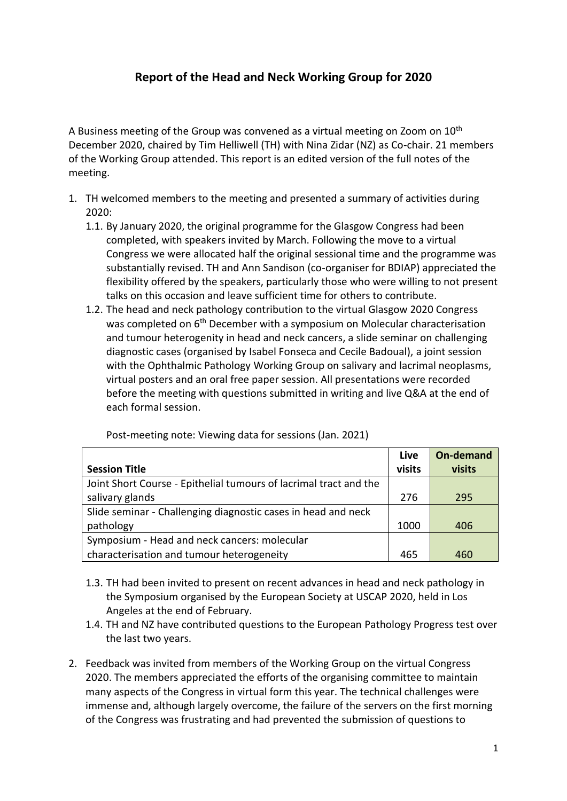## **Report of the Head and Neck Working Group for 2020**

A Business meeting of the Group was convened as a virtual meeting on Zoom on 10<sup>th</sup> December 2020, chaired by Tim Helliwell (TH) with Nina Zidar (NZ) as Co-chair. 21 members of the Working Group attended. This report is an edited version of the full notes of the meeting.

- 1. TH welcomed members to the meeting and presented a summary of activities during 2020:
	- 1.1. By January 2020, the original programme for the Glasgow Congress had been completed, with speakers invited by March. Following the move to a virtual Congress we were allocated half the original sessional time and the programme was substantially revised. TH and Ann Sandison (co-organiser for BDIAP) appreciated the flexibility offered by the speakers, particularly those who were willing to not present talks on this occasion and leave sufficient time for others to contribute.
	- 1.2. The head and neck pathology contribution to the virtual Glasgow 2020 Congress was completed on 6<sup>th</sup> December with a symposium on Molecular characterisation and tumour heterogenity in head and neck cancers, a slide seminar on challenging diagnostic cases (organised by Isabel Fonseca and Cecile Badoual), a joint session with the Ophthalmic Pathology Working Group on salivary and lacrimal neoplasms, virtual posters and an oral free paper session. All presentations were recorded before the meeting with questions submitted in writing and live Q&A at the end of each formal session.

|                                                                   | Live   | <b>On-demand</b> |
|-------------------------------------------------------------------|--------|------------------|
| <b>Session Title</b>                                              | visits | visits           |
| Joint Short Course - Epithelial tumours of lacrimal tract and the |        |                  |
| salivary glands                                                   | 276    | 295              |
| Slide seminar - Challenging diagnostic cases in head and neck     |        |                  |
| pathology                                                         | 1000   | 406              |
| Symposium - Head and neck cancers: molecular                      |        |                  |
| characterisation and tumour heterogeneity                         | 465    | 460              |

Post-meeting note: Viewing data for sessions (Jan. 2021)

- 1.3. TH had been invited to present on recent advances in head and neck pathology in the Symposium organised by the European Society at USCAP 2020, held in Los Angeles at the end of February.
- 1.4. TH and NZ have contributed questions to the European Pathology Progress test over the last two years.
- 2. Feedback was invited from members of the Working Group on the virtual Congress 2020. The members appreciated the efforts of the organising committee to maintain many aspects of the Congress in virtual form this year. The technical challenges were immense and, although largely overcome, the failure of the servers on the first morning of the Congress was frustrating and had prevented the submission of questions to